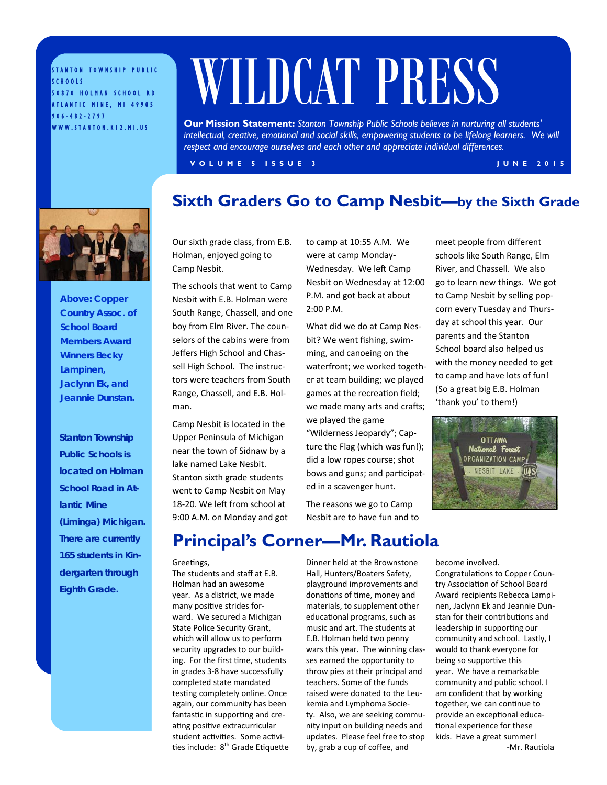STANTON TOWNSHIP PUBLIC SCHOOLS 50870 HOLMAN SCHOOL RD ATLANTIC MINE, MI 49905 906-482-2797 WWW.STANTON.K12.MI.US

# WILDCAT PRESS

**Our Mission Statement:** *Stanton Township Public Schools believes in nurturing all students'*  intellectual, creative, emotional and social skills, empowering students to be lifelong learners. We will *respect and encourage ourselves and each other and appreciate individual differences.* 

**Sixth Graders Go to Camp Nesbit—by the Sixth Grade**

**VOLUME 5 ISSUE 3 JUNE 2015** 

*Above: Copper Country Assoc. of School Board Members Award Winners Becky Lampinen, Jaclynn Ek, and Jeannie Dunstan.*

*Stanton Township Public Schools is located on Holman School Road in Atlantic Mine (Liminga) Michigan. There are currently 165 students in Kindergarten through Eighth Grade.* 

Our sixth grade class, from E.B. Holman, enjoyed going to Camp Nesbit.

The schools that went to Camp Nesbit with E.B. Holman were South Range, Chassell, and one boy from Elm River. The counselors of the cabins were from Jeffers High School and Chassell High School. The instructors were teachers from South Range, Chassell, and E.B. Holman.

Camp Nesbit is located in the Upper Peninsula of Michigan near the town of Sidnaw by a lake named Lake Nesbit. Stanton sixth grade students went to Camp Nesbit on May 18-20. We left from school at 9:00 A.M. on Monday and got to camp at 10:55 A.M. We were at camp Monday-Wednesday. We left Camp Nesbit on Wednesday at 12:00 P.M. and got back at about 2:00 P.M.

What did we do at Camp Nesbit? We went fishing, swimming, and canoeing on the waterfront; we worked together at team building; we played games at the recreation field; we made many arts and crafts; we played the game

"Wilderness Jeopardy"; Capture the Flag (which was fun!); did a low ropes course; shot bows and guns; and participated in a scavenger hunt.

The reasons we go to Camp Nesbit are to have fun and to meet people from different schools like South Range, Elm River, and Chassell. We also go to learn new things. We got to Camp Nesbit by selling popcorn every Tuesday and Thursday at school this year. Our parents and the Stanton School board also helped us with the money needed to get to camp and have lots of fun! (So a great big E.B. Holman 'thank you' to them!)



#### **Principal's Corner—Mr. Rautiola**

#### Greetings,

The students and staff at E.B. Holman had an awesome year. As a district, we made many positive strides forward. We secured a Michigan State Police Security Grant, which will allow us to perform security upgrades to our building. For the first time, students in grades 3-8 have successfully completed state mandated testing completely online. Once again, our community has been fantastic in supporting and creating positive extracurricular student activities. Some activities include: 8<sup>th</sup> Grade Etiquette Dinner held at the Brownstone Hall, Hunters/Boaters Safety, playground improvements and donations of time, money and materials, to supplement other educational programs, such as music and art. The students at E.B. Holman held two penny wars this year. The winning classes earned the opportunity to throw pies at their principal and teachers. Some of the funds raised were donated to the Leukemia and Lymphoma Society. Also, we are seeking community input on building needs and updates. Please feel free to stop by, grab a cup of coffee, and

become involved. Congratulations to Copper Country Association of School Board Award recipients Rebecca Lampinen, Jaclynn Ek and Jeannie Dunstan for their contributions and leadership in supporting our community and school. Lastly, I would to thank everyone for being so supportive this year. We have a remarkable community and public school. I am confident that by working together, we can continue to provide an exceptional educational experience for these kids. Have a great summer! -Mr. Rautiola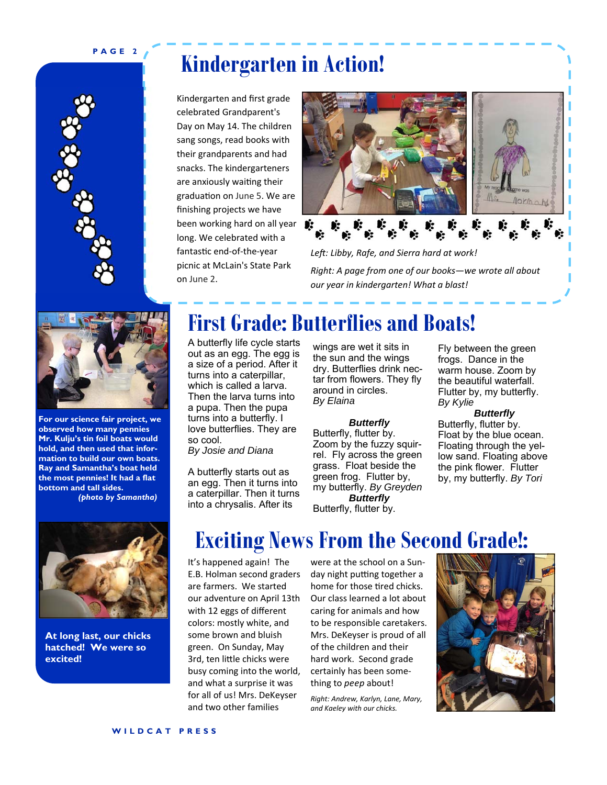#### **PAGE 2**



# **Kindergarten in Action!**

Kindergarten and first grade celebrated Grandparent's Day on May 14. The children sang songs, read books with their grandparents and had snacks. The kindergarteners are anxiously waiting their graduation on June 5. We are finishing projects we have been working hard on all year  $\bullet$ : long. We celebrated with a fantastic end-of-the-year picnic at McLain's State Park on June 2.



*Right: A page from one of our books—we wrote all about our year in kindergarten! What a blast!* 



**For our science fair project, we observed how many pennies Mr. Kulju's tin foil boats would hold, and then used that information to build our own boats. Ray and Samantha's boat held the most pennies! It had a flat bottom and tall sides.** 

*(photo by Samantha)*



**At long last, our chicks hatched! We were so excited!** 

### **First Grade: Butterflies and Boats!**

A butterfly life cycle starts out as an egg. The egg is a size of a period. After it turns into a caterpillar, which is called a larva. Then the larva turns into a pupa. Then the pupa turns into a butterfly. I love butterflies. They are so cool. *By Josie and Diana* 

A butterfly starts out as an egg. Then it turns into a caterpillar. Then it turns into a chrysalis. After its

wings are wet it sits in the sun and the wings dry. Butterflies drink nectar from flowers. They fly around in circles. *By Elaina* 

#### *Butterfly*

Butterfly, flutter by. Zoom by the fuzzy squirrel. Fly across the green grass. Float beside the green frog. Flutter by, my butterfly. *By Greyden Butterfly*  Butterfly, flutter by.

Fly between the green frogs. Dance in the warm house. Zoom by the beautiful waterfall. Flutter by, my butterfly. *By Kylie* 

*Butterfly*  Butterfly, flutter by. Float by the blue ocean. Floating through the yellow sand. Floating above the pink flower. Flutter by, my butterfly. *By Tori* 

# **Exciting News From the Second Grade!:**

It's happened again! The E.B. Holman second graders are farmers. We started our adventure on April 13th with 12 eggs of different colors: mostly white, and some brown and bluish green. On Sunday, May 3rd, ten little chicks were busy coming into the world, and what a surprise it was for all of us! Mrs. DeKeyser and two other families

were at the school on a Sunday night putting together a home for those tired chicks. Our class learned a lot about caring for animals and how to be responsible caretakers. Mrs. DeKeyser is proud of all of the children and their hard work. Second grade certainly has been something to *peep* about!

*Right: Andrew, Karlyn, Lane, Mary, and Kaeley with our chicks.*

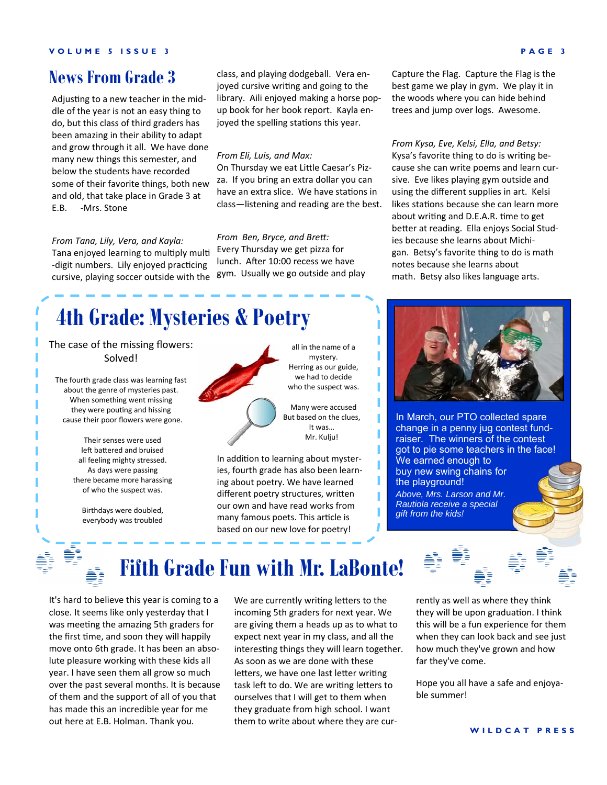#### **News From Grade 3**

Adjusting to a new teacher in the middle of the year is not an easy thing to do, but this class of third graders has been amazing in their ability to adapt and grow through it all. We have done many new things this semester, and below the students have recorded some of their favorite things, both new and old, that take place in Grade 3 at E.B. -Mrs. Stone

#### *From Tana, Lily, Vera, and Kayla:*

Tana enjoyed learning to multiply multi -digit numbers. Lily enjoyed practicing cursive, playing soccer outside with the class, and playing dodgeball. Vera enjoyed cursive writing and going to the library. Aili enjoyed making a horse popup book for her book report. Kayla enjoyed the spelling stations this year.

#### *From Eli, Luis, and Max:*

On Thursday we eat Little Caesar's Pizza. If you bring an extra dollar you can have an extra slice. We have stations in class—listening and reading are the best.

#### *From Ben, Bryce, and BreƩ:*

Every Thursday we get pizza for lunch. After 10:00 recess we have gym. Usually we go outside and play Capture the Flag. Capture the Flag is the best game we play in gym. We play it in the woods where you can hide behind trees and jump over logs. Awesome.

*From Kysa, Eve, Kelsi, Ella, and Betsy:* Kysa's favorite thing to do is writing because she can write poems and learn cursive. Eve likes playing gym outside and using the different supplies in art. Kelsi likes stations because she can learn more about writing and D.E.A.R. time to get better at reading. Ella enjoys Social Studies because she learns about Michigan. Betsy's favorite thing to do is math notes because she learns about math. Betsy also likes language arts.

# **4th Grade: Mysteries & Poetry**

The case of the missing flowers: Solved!

The fourth grade class was learning fast about the genre of mysteries past. When something went missing they were pouting and hissing cause their poor flowers were gone.

> Their senses were used left battered and bruised all feeling mighty stressed. As days were passing there became more harassing of who the suspect was.

Birthdays were doubled, everybody was troubled



all in the name of a mystery. Herring as our guide, we had to decide who the suspect was.

Many were accused But based on the clues, It was… Mr. Kulju!

In addition to learning about mysteries, fourth grade has also been learning about poetry. We have learned different poetry structures, written our own and have read works from many famous poets. This article is based on our new love for poetry!



In March, our PTO collected spare change in a penny jug contest fundraiser. The winners of the contest got to pie some teachers in the face! We earned enough to buy new swing chains for the playground! *Above, Mrs. Larson and Mr. Rautiola receive a special gift from the kids!* 

# **Fifth Grade Fun with Mr. LaBonte!**

It's hard to believe this year is coming to a close. It seems like only yesterday that I was meeting the amazing 5th graders for the first time, and soon they will happily move onto 6th grade. It has been an absolute pleasure working with these kids all year. I have seen them all grow so much over the past several months. It is because of them and the support of all of you that has made this an incredible year for me out here at E.B. Holman. Thank you.

We are currently writing letters to the incoming 5th graders for next year. We are giving them a heads up as to what to expect next year in my class, and all the interesting things they will learn together. As soon as we are done with these letters, we have one last letter writing task left to do. We are writing letters to ourselves that I will get to them when they graduate from high school. I want them to write about where they are cur-

rently as well as where they think they will be upon graduation. I think this will be a fun experience for them when they can look back and see just how much they've grown and how far they've come.

Hope you all have a safe and enjoyable summer!